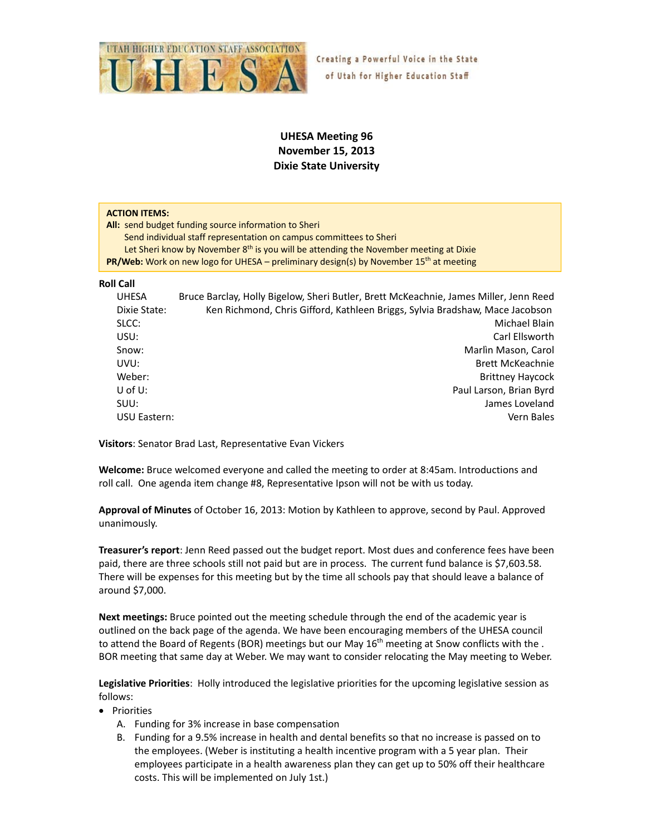

Creating a Powerful Voice in the State of Utah for Higher Education Staff

# **UHESA Meeting 96 November 15, 2013 Dixie State University**

### **ACTION ITEMS:**

All: send budget funding source information to Sheri Send individual staff representation on campus committees to Sheri Let Sheri know by November 8<sup>th</sup> is you will be attending the November meeting at Dixie **PR/Web:** Work on new logo for UHESA – preliminary design(s) by November 15<sup>th</sup> at meeting

#### **Roll Call**

| UHESA        | Bruce Barclay, Holly Bigelow, Sheri Butler, Brett McKeachnie, James Miller, Jenn Reed |
|--------------|---------------------------------------------------------------------------------------|
| Dixie State: | Ken Richmond, Chris Gifford, Kathleen Briggs, Sylvia Bradshaw, Mace Jacobson          |
| SLCC:        | Michael Blain                                                                         |
| USU:         | Carl Ellsworth                                                                        |
| Snow:        | Marlin Mason, Carol                                                                   |
| UVU:         | Brett McKeachnie                                                                      |
| Weber:       | <b>Brittney Haycock</b>                                                               |
| U of U:      | Paul Larson, Brian Byrd                                                               |
| SUU:         | James Loveland                                                                        |
| USU Eastern: | Vern Bales                                                                            |

**Visitors**: Senator Brad Last, Representative Evan Vickers

**Welcome:** Bruce welcomed everyone and called the meeting to order at 8:45am. Introductions and roll call. One agenda item change #8, Representative Ipson will not be with us today.

**Approval of Minutes** of October 16, 2013: Motion by Kathleen to approve, second by Paul. Approved unanimously.

**Treasurer's report**: Jenn Reed passed out the budget report. Most dues and conference fees have been paid, there are three schools still not paid but are in process. The current fund balance is \$7,603.58. There will be expenses for this meeting but by the time all schools pay that should leave a balance of around \$7,000.

**Next meetings:** Bruce pointed out the meeting schedule through the end of the academic year is outlined on the back page of the agenda. We have been encouraging members of the UHESA council to attend the Board of Regents (BOR) meetings but our May  $16^{th}$  meeting at Snow conflicts with the. BOR meeting that same day at Weber. We may want to consider relocating the May meeting to Weber.

**Legislative Priorities**: Holly introduced the legislative priorities for the upcoming legislative session as follows:

- Priorities
	- A. Funding for 3% increase in base compensation
	- B. Funding for a 9.5% increase in health and dental benefits so that no increase is passed on to the employees. (Weber is instituting a health incentive program with a 5 year plan. Their employees participate in a health awareness plan they can get up to 50% off their healthcare costs. This will be implemented on July 1st.)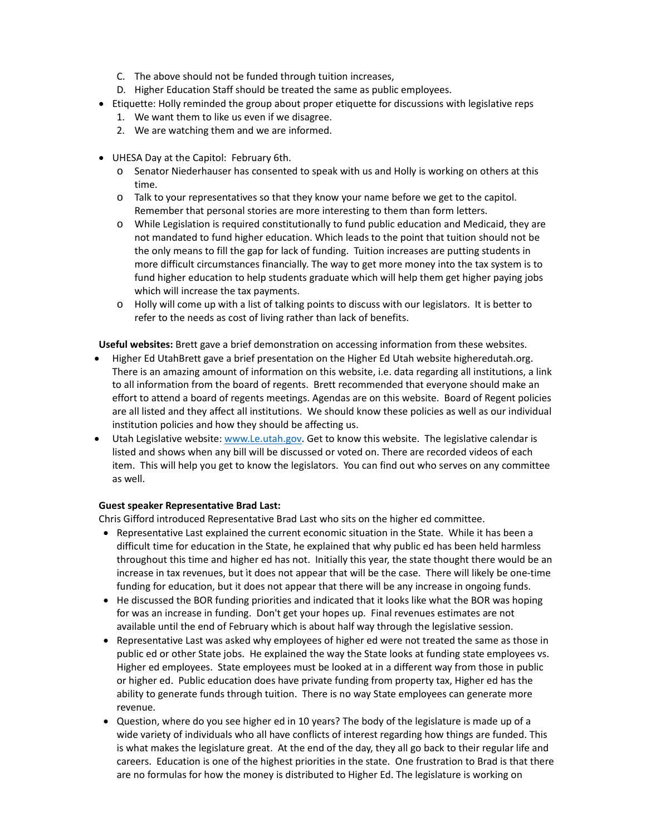- C. The above should not be funded through tuition increases,
- D. Higher Education Staff should be treated the same as public employees.
- Etiquette: Holly reminded the group about proper etiquette for discussions with legislative reps
	- 1. We want them to like us even if we disagree.
	- 2. We are watching them and we are informed.
- UHESA Day at the Capitol: February 6th.
	- o Senator Niederhauser has consented to speak with us and Holly is working on others at this time.
	- o Talk to your representatives so that they know your name before we get to the capitol. Remember that personal stories are more interesting to them than form letters.
	- o While Legislation is required constitutionally to fund public education and Medicaid, they are not mandated to fund higher education. Which leads to the point that tuition should not be the only means to fill the gap for lack of funding. Tuition increases are putting students in more difficult circumstances financially. The way to get more money into the tax system is to fund higher education to help students graduate which will help them get higher paying jobs which will increase the tax payments.
	- o Holly will come up with a list of talking points to discuss with our legislators. It is better to refer to the needs as cost of living rather than lack of benefits.

**Useful websites:** Brett gave a brief demonstration on accessing information from these websites.

- Higher Ed UtahBrett gave a brief presentation on the Higher Ed Utah website higheredutah.org. There is an amazing amount of information on this website, i.e. data regarding all institutions, a link to all information from the board of regents. Brett recommended that everyone should make an effort to attend a board of regents meetings. Agendas are on this website. Board of Regent policies are all listed and they affect all institutions. We should know these policies as well as our individual institution policies and how they should be affecting us.
- Utah Legislative website: www.Le.utah.gov. Get to know this website. The legislative calendar is listed and shows when any bill will be discussed or voted on. There are recorded videos of each item. This will help you get to know the legislators. You can find out who serves on any committee as well.

## **Guest speaker Representative Brad Last:**

Chris Gifford introduced Representative Brad Last who sits on the higher ed committee.

- Representative Last explained the current economic situation in the State. While it has been a difficult time for education in the State, he explained that why public ed has been held harmless throughout this time and higher ed has not. Initially this year, the state thought there would be an increase in tax revenues, but ìt does not appear that will be the case. There will likely be one‐time funding for education, but it does not appear that there will be any increase in ongoing funds.
- He discussed the BOR funding priorities and indicated that it looks like what the BOR was hoping for was an increase in funding. Don't get your hopes up. Final revenues estimates are not available until the end of February which is about half way through the legislative session.
- Representative Last was asked why employees of higher ed were not treated the same as those in public ed or other State jobs. He explained the way the State looks at funding state employees vs. Higher ed employees. State employees must be looked at in a different way from those in public or higher ed. Public education does have private funding from property tax, Higher ed has the ability to generate funds through tuition. There is no way State employees can generate more revenue.
- Question, where do you see higher ed in 10 years? The body of the legislature is made up of a wide variety of individuals who all have conflicts of interest regarding how things are funded. This is what makes the legislature great. At the end of the day, they all go back to their regular life and careers. Education is one of the highest priorities in the state. One frustration to Brad is that there are no formulas for how the money is distributed to Higher Ed. The legislature is working on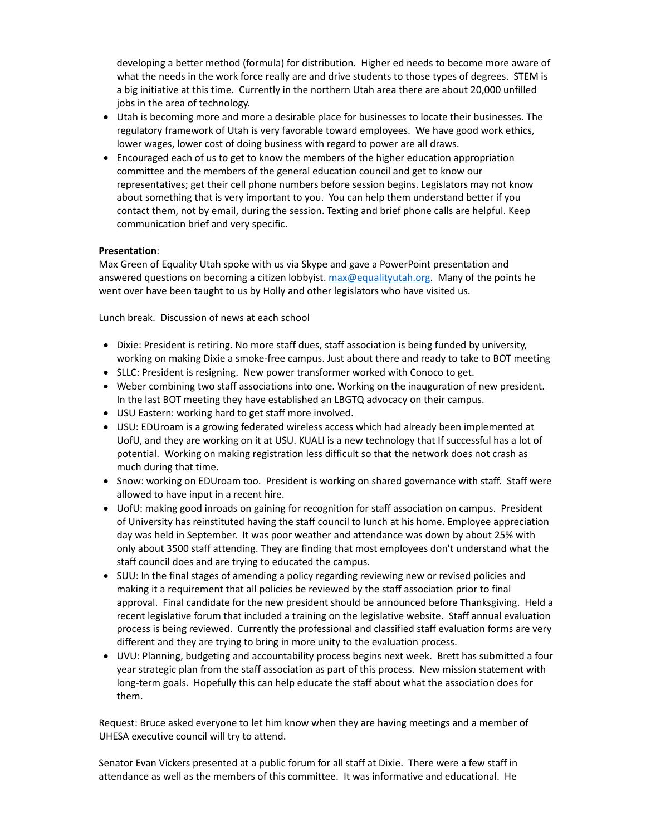developing a better method (formula) for distribution. Higher ed needs to become more aware of what the needs in the work force really are and drive students to those types of degrees. STEM is a big initiative at this time. Currently in the northern Utah area there are about 20,000 unfilled jobs in the area of technology.

- Utah is becoming more and more a desirable place for businesses to locate their businesses. The regulatory framework of Utah is very favorable toward employees. We have good work ethics, lower wages, lower cost of doing business with regard to power are all draws.
- Encouraged each of us to get to know the members of the higher education appropriation committee and the members of the general education council and get to know our representatives; get their cell phone numbers before session begins. Legislators may not know about something that is very important to you. You can help them understand better if you contact them, not by email, during the session. Texting and brief phone calls are helpful. Keep communication brief and very specific.

## **Presentation**:

Max Green of Equality Utah spoke with us via Skype and gave a PowerPoint presentation and answered questions on becoming a citizen lobbyist. max@equalityutah.org. Many of the points he went over have been taught to us by Holly and other legislators who have visited us.

Lunch break. Discussion of news at each school

- Dixie: President is retiring. No more staff dues, staff association is being funded by university, working on making Dixie a smoke‐free campus. Just about there and ready to take to BOT meeting
- SLLC: President is resigning. New power transformer worked with Conoco to get.
- Weber combining two staff associations into one. Working on the inauguration of new president. In the last BOT meeting they have established an LBGTQ advocacy on their campus.
- USU Eastern: working hard to get staff more involved.
- USU: EDUroam is a growing federated wireless access which had already been implemented at UofU, and they are working on it at USU. KUALI is a new technology that If successful has a lot of potential. Working on making registration less difficult so that the network does not crash as much during that time.
- Snow: working on EDUroam too. President is working on shared governance with staff. Staff were allowed to have input in a recent hire.
- UofU: making good inroads on gaining for recognition for staff association on campus. President of University has reinstituted having the staff council to lunch at his home. Employee appreciation day was held in September. It was poor weather and attendance was down by about 25% with only about 3500 staff attending. They are finding that most employees don't understand what the staff council does and are trying to educated the campus.
- SUU: In the final stages of amending a policy regarding reviewing new or revised policies and making it a requirement that all policies be reviewed by the staff association prior to final approval. Final candidate for the new president should be announced before Thanksgiving. Held a recent legislative forum that included a training on the legislative website. Staff annual evaluation process is being reviewed. Currently the professional and classified staff evaluation forms are very different and they are trying to bring in more unity to the evaluation process.
- UVU: Planning, budgeting and accountability process begins next week. Brett has submitted a four year strategic plan from the staff association as part of this process. New mission statement with long‐term goals. Hopefully this can help educate the staff about what the association does for them.

Request: Bruce asked everyone to let him know when they are having meetings and a member of UHESA executive council will try to attend.

Senator Evan Vickers presented at a public forum for all staff at Dixie. There were a few staff in attendance as well as the members of this committee. It was informative and educational. He